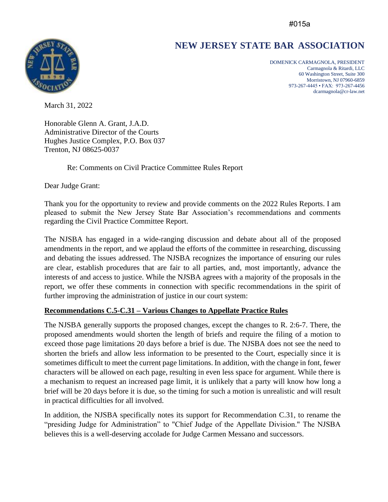#015a

# **NEW JERSEY STATE BAR ASSOCIATION**



DOMENICK CARMAGNOLA, PRESIDENT Carmagnola & Ritardi, LLC 60 Washington Street, Suite 300 Morristown, NJ 07960-6859 973-267-4445 • FAX: 973-267-4456 dcarmagnola@cr-law.net

March 31, 2022

Honorable Glenn A. Grant, J.A.D. Administrative Director of the Courts Hughes Justice Complex, P.O. Box 037 Trenton, NJ 08625-0037

Re: Comments on Civil Practice Committee Rules Report

Dear Judge Grant:

Thank you for the opportunity to review and provide comments on the 2022 Rules Reports. I am pleased to submit the New Jersey State Bar Association's recommendations and comments regarding the Civil Practice Committee Report.

The NJSBA has engaged in a wide-ranging discussion and debate about all of the proposed amendments in the report, and we applaud the efforts of the committee in researching, discussing and debating the issues addressed. The NJSBA recognizes the importance of ensuring our rules are clear, establish procedures that are fair to all parties, and, most importantly, advance the interests of and access to justice. While the NJSBA agrees with a majority of the proposals in the report, we offer these comments in connection with specific recommendations in the spirit of further improving the administration of justice in our court system:

## **Recommendations C.5-C.31 – Various Changes to Appellate Practice Rules**

The NJSBA generally supports the proposed changes, except the changes to R. 2:6-7. There, the proposed amendments would shorten the length of briefs and require the filing of a motion to exceed those page limitations 20 days before a brief is due. The NJSBA does not see the need to shorten the briefs and allow less information to be presented to the Court, especially since it is sometimes difficult to meet the current page limitations. In addition, with the change in font, fewer characters will be allowed on each page, resulting in even less space for argument. While there is a mechanism to request an increased page limit, it is unlikely that a party will know how long a brief will be 20 days before it is due, so the timing for such a motion is unrealistic and will result in practical difficulties for all involved.

In addition, the NJSBA specifically notes its support for Recommendation C.31, to rename the "presiding Judge for Administration" to "Chief Judge of the Appellate Division." The NJSBA believes this is a well-deserving accolade for Judge Carmen Messano and successors.